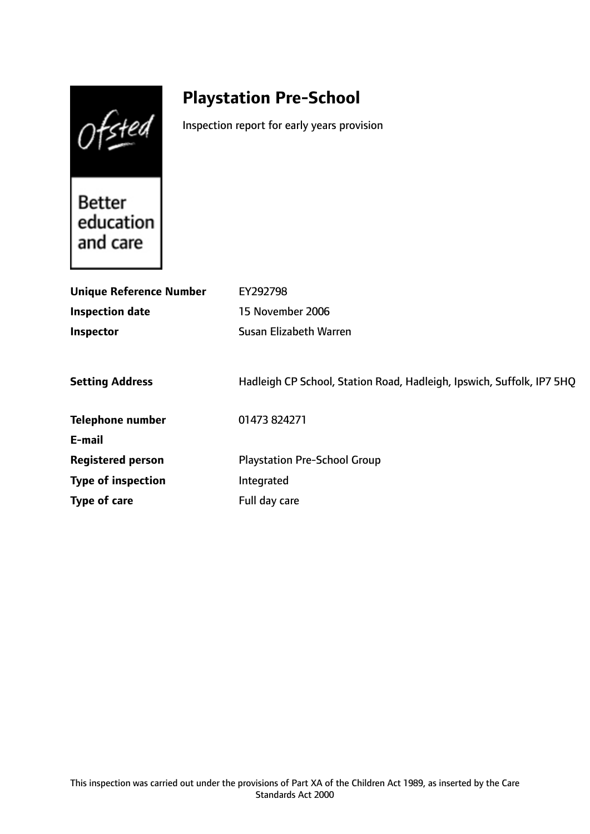Ofsted

# **Playstation Pre-School**

Inspection report for early years provision

**Better** education and care

| <b>Unique Reference Number</b> | EY292798                                                              |
|--------------------------------|-----------------------------------------------------------------------|
| <b>Inspection date</b>         | 15 November 2006                                                      |
| Inspector                      | Susan Elizabeth Warren                                                |
|                                |                                                                       |
| <b>Setting Address</b>         | Hadleigh CP School, Station Road, Hadleigh, Ipswich, Suffolk, IP7 5HQ |
| <b>Telephone number</b>        | 01473 824271                                                          |
| E-mail                         |                                                                       |
| <b>Registered person</b>       | <b>Playstation Pre-School Group</b>                                   |
| <b>Type of inspection</b>      | Integrated                                                            |
| Type of care                   | Full day care                                                         |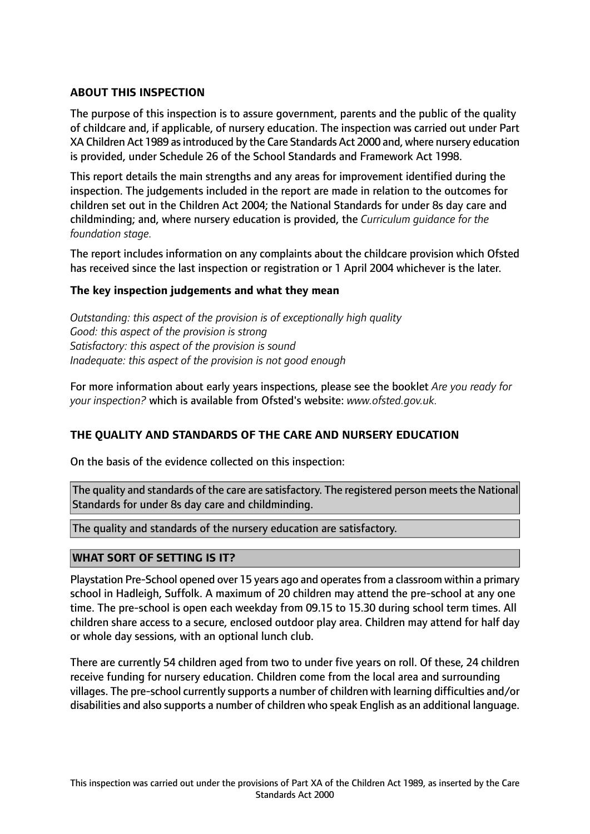# **ABOUT THIS INSPECTION**

The purpose of this inspection is to assure government, parents and the public of the quality of childcare and, if applicable, of nursery education. The inspection was carried out under Part XA Children Act 1989 as introduced by the Care Standards Act 2000 and, where nursery education is provided, under Schedule 26 of the School Standards and Framework Act 1998.

This report details the main strengths and any areas for improvement identified during the inspection. The judgements included in the report are made in relation to the outcomes for children set out in the Children Act 2004; the National Standards for under 8s day care and childminding; and, where nursery education is provided, the *Curriculum guidance for the foundation stage.*

The report includes information on any complaints about the childcare provision which Ofsted has received since the last inspection or registration or 1 April 2004 whichever is the later.

## **The key inspection judgements and what they mean**

*Outstanding: this aspect of the provision is of exceptionally high quality Good: this aspect of the provision is strong Satisfactory: this aspect of the provision is sound Inadequate: this aspect of the provision is not good enough*

For more information about early years inspections, please see the booklet *Are you ready for your inspection?* which is available from Ofsted's website: *www.ofsted.gov.uk.*

## **THE QUALITY AND STANDARDS OF THE CARE AND NURSERY EDUCATION**

On the basis of the evidence collected on this inspection:

The quality and standards of the care are satisfactory. The registered person meets the National Standards for under 8s day care and childminding.

The quality and standards of the nursery education are satisfactory.

## **WHAT SORT OF SETTING IS IT?**

Playstation Pre-School opened over 15 years ago and operates from a classroom within a primary school in Hadleigh, Suffolk. A maximum of 20 children may attend the pre-school at any one time. The pre-school is open each weekday from 09.15 to 15.30 during school term times. All children share access to a secure, enclosed outdoor play area. Children may attend for half day or whole day sessions, with an optional lunch club.

There are currently 54 children aged from two to under five years on roll. Of these, 24 children receive funding for nursery education. Children come from the local area and surrounding villages. The pre-school currently supports a number of children with learning difficulties and/or disabilities and also supports a number of children who speak English as an additional language.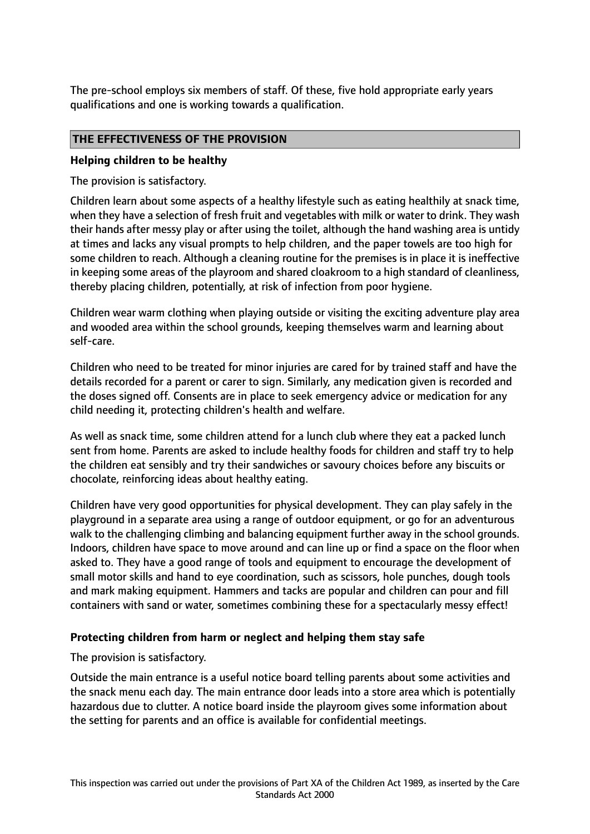The pre-school employs six members of staff. Of these, five hold appropriate early years qualifications and one is working towards a qualification.

## **THE EFFECTIVENESS OF THE PROVISION**

#### **Helping children to be healthy**

The provision is satisfactory.

Children learn about some aspects of a healthy lifestyle such as eating healthily at snack time, when they have a selection of fresh fruit and vegetables with milk or water to drink. They wash their hands after messy play or after using the toilet, although the hand washing area is untidy at times and lacks any visual prompts to help children, and the paper towels are too high for some children to reach. Although a cleaning routine for the premises is in place it is ineffective in keeping some areas of the playroom and shared cloakroom to a high standard of cleanliness, thereby placing children, potentially, at risk of infection from poor hygiene.

Children wear warm clothing when playing outside or visiting the exciting adventure play area and wooded area within the school grounds, keeping themselves warm and learning about self-care.

Children who need to be treated for minor injuries are cared for by trained staff and have the details recorded for a parent or carer to sign. Similarly, any medication given is recorded and the doses signed off. Consents are in place to seek emergency advice or medication for any child needing it, protecting children's health and welfare.

As well as snack time, some children attend for a lunch club where they eat a packed lunch sent from home. Parents are asked to include healthy foods for children and staff try to help the children eat sensibly and try their sandwiches or savoury choices before any biscuits or chocolate, reinforcing ideas about healthy eating.

Children have very good opportunities for physical development. They can play safely in the playground in a separate area using a range of outdoor equipment, or go for an adventurous walk to the challenging climbing and balancing equipment further away in the school grounds. Indoors, children have space to move around and can line up or find a space on the floor when asked to. They have a good range of tools and equipment to encourage the development of small motor skills and hand to eye coordination, such as scissors, hole punches, dough tools and mark making equipment. Hammers and tacks are popular and children can pour and fill containers with sand or water, sometimes combining these for a spectacularly messy effect!

## **Protecting children from harm or neglect and helping them stay safe**

#### The provision is satisfactory.

Outside the main entrance is a useful notice board telling parents about some activities and the snack menu each day. The main entrance door leads into a store area which is potentially hazardous due to clutter. A notice board inside the playroom gives some information about the setting for parents and an office is available for confidential meetings.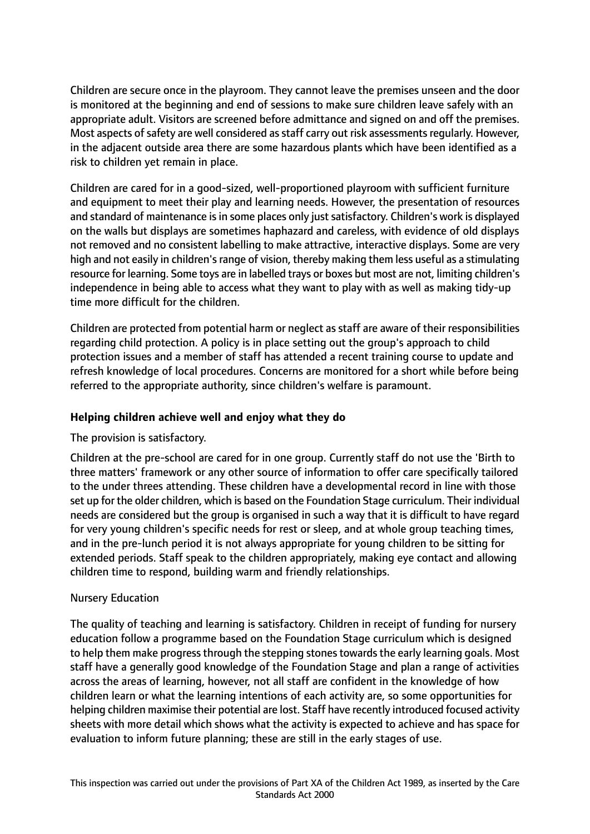Children are secure once in the playroom. They cannot leave the premises unseen and the door is monitored at the beginning and end of sessions to make sure children leave safely with an appropriate adult. Visitors are screened before admittance and signed on and off the premises. Most aspects of safety are well considered as staff carry out risk assessments regularly. However, in the adjacent outside area there are some hazardous plants which have been identified as a risk to children yet remain in place.

Children are cared for in a good-sized, well-proportioned playroom with sufficient furniture and equipment to meet their play and learning needs. However, the presentation of resources and standard of maintenance is in some places only just satisfactory. Children's work is displayed on the walls but displays are sometimes haphazard and careless, with evidence of old displays not removed and no consistent labelling to make attractive, interactive displays. Some are very high and not easily in children's range of vision, thereby making them less useful as a stimulating resource for learning. Some toys are in labelled trays or boxes but most are not, limiting children's independence in being able to access what they want to play with as well as making tidy-up time more difficult for the children.

Children are protected from potential harm or neglect as staff are aware of their responsibilities regarding child protection. A policy is in place setting out the group's approach to child protection issues and a member of staff has attended a recent training course to update and refresh knowledge of local procedures. Concerns are monitored for a short while before being referred to the appropriate authority, since children's welfare is paramount.

# **Helping children achieve well and enjoy what they do**

## The provision is satisfactory.

Children at the pre-school are cared for in one group. Currently staff do not use the 'Birth to three matters' framework or any other source of information to offer care specifically tailored to the under threes attending. These children have a developmental record in line with those set up for the older children, which is based on the Foundation Stage curriculum. Their individual needs are considered but the group is organised in such a way that it is difficult to have regard for very young children's specific needs for rest or sleep, and at whole group teaching times, and in the pre-lunch period it is not always appropriate for young children to be sitting for extended periods. Staff speak to the children appropriately, making eye contact and allowing children time to respond, building warm and friendly relationships.

## Nursery Education

The quality of teaching and learning is satisfactory. Children in receipt of funding for nursery education follow a programme based on the Foundation Stage curriculum which is designed to help them make progress through the stepping stones towards the early learning goals. Most staff have a generally good knowledge of the Foundation Stage and plan a range of activities across the areas of learning, however, not all staff are confident in the knowledge of how children learn or what the learning intentions of each activity are, so some opportunities for helping children maximise their potential are lost. Staff have recently introduced focused activity sheets with more detail which shows what the activity is expected to achieve and has space for evaluation to inform future planning; these are still in the early stages of use.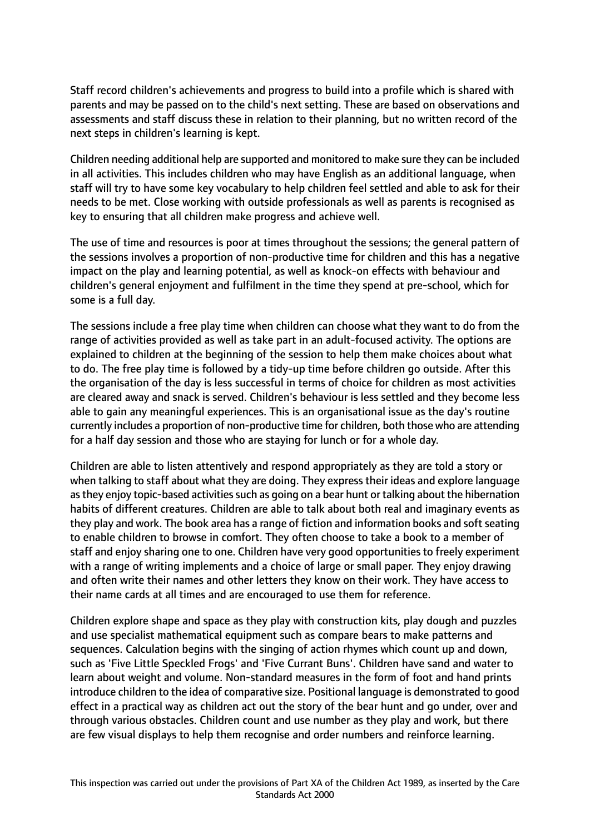Staff record children's achievements and progress to build into a profile which is shared with parents and may be passed on to the child's next setting. These are based on observations and assessments and staff discuss these in relation to their planning, but no written record of the next steps in children's learning is kept.

Children needing additional help are supported and monitored to make sure they can be included in all activities. This includes children who may have English as an additional language, when staff will try to have some key vocabulary to help children feel settled and able to ask for their needs to be met. Close working with outside professionals as well as parents is recognised as key to ensuring that all children make progress and achieve well.

The use of time and resources is poor at times throughout the sessions; the general pattern of the sessions involves a proportion of non-productive time for children and this has a negative impact on the play and learning potential, as well as knock-on effects with behaviour and children's general enjoyment and fulfilment in the time they spend at pre-school, which for some is a full day.

The sessions include a free play time when children can choose what they want to do from the range of activities provided as well as take part in an adult-focused activity. The options are explained to children at the beginning of the session to help them make choices about what to do. The free play time is followed by a tidy-up time before children go outside. After this the organisation of the day is less successful in terms of choice for children as most activities are cleared away and snack is served. Children's behaviour is less settled and they become less able to gain any meaningful experiences. This is an organisational issue as the day's routine currently includes a proportion of non-productive time for children, both those who are attending for a half day session and those who are staying for lunch or for a whole day.

Children are able to listen attentively and respond appropriately as they are told a story or when talking to staff about what they are doing. They express their ideas and explore language as they enjoy topic-based activities such as going on a bear hunt or talking about the hibernation habits of different creatures. Children are able to talk about both real and imaginary events as they play and work. The book area has a range of fiction and information books and soft seating to enable children to browse in comfort. They often choose to take a book to a member of staff and enjoy sharing one to one. Children have very good opportunities to freely experiment with a range of writing implements and a choice of large or small paper. They enjoy drawing and often write their names and other letters they know on their work. They have access to their name cards at all times and are encouraged to use them for reference.

Children explore shape and space as they play with construction kits, play dough and puzzles and use specialist mathematical equipment such as compare bears to make patterns and sequences. Calculation begins with the singing of action rhymes which count up and down, such as 'Five Little Speckled Frogs' and 'Five Currant Buns'. Children have sand and water to learn about weight and volume. Non-standard measures in the form of foot and hand prints introduce children to the idea of comparative size. Positional language is demonstrated to good effect in a practical way as children act out the story of the bear hunt and go under, over and through various obstacles. Children count and use number as they play and work, but there are few visual displays to help them recognise and order numbers and reinforce learning.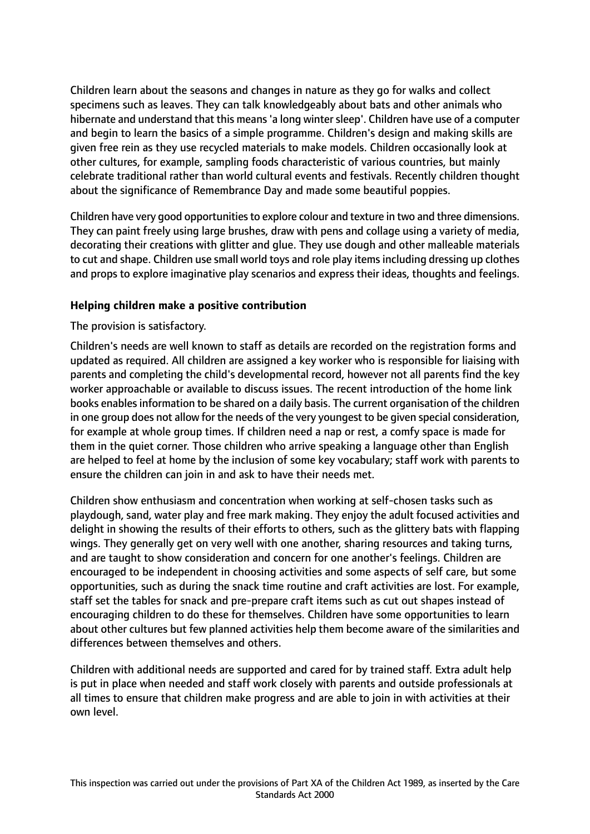Children learn about the seasons and changes in nature as they go for walks and collect specimens such as leaves. They can talk knowledgeably about bats and other animals who hibernate and understand that this means'a long wintersleep'. Children have use of a computer and begin to learn the basics of a simple programme. Children's design and making skills are given free rein as they use recycled materials to make models. Children occasionally look at other cultures, for example, sampling foods characteristic of various countries, but mainly celebrate traditional rather than world cultural events and festivals. Recently children thought about the significance of Remembrance Day and made some beautiful poppies.

Children have very good opportunitiesto explore colour and texture in two and three dimensions. They can paint freely using large brushes, draw with pens and collage using a variety of media, decorating their creations with glitter and glue. They use dough and other malleable materials to cut and shape. Children use small world toys and role play items including dressing up clothes and props to explore imaginative play scenarios and express their ideas, thoughts and feelings.

## **Helping children make a positive contribution**

The provision is satisfactory.

Children's needs are well known to staff as details are recorded on the registration forms and updated as required. All children are assigned a key worker who is responsible for liaising with parents and completing the child's developmental record, however not all parents find the key worker approachable or available to discuss issues. The recent introduction of the home link books enables information to be shared on a daily basis. The current organisation of the children in one group does not allow for the needs of the very youngest to be given special consideration, for example at whole group times. If children need a nap or rest, a comfy space is made for them in the quiet corner. Those children who arrive speaking a language other than English are helped to feel at home by the inclusion of some key vocabulary; staff work with parents to ensure the children can join in and ask to have their needs met.

Children show enthusiasm and concentration when working at self-chosen tasks such as playdough, sand, water play and free mark making. They enjoy the adult focused activities and delight in showing the results of their efforts to others, such as the glittery bats with flapping wings. They generally get on very well with one another, sharing resources and taking turns, and are taught to show consideration and concern for one another's feelings. Children are encouraged to be independent in choosing activities and some aspects of self care, but some opportunities, such as during the snack time routine and craft activities are lost. For example, staff set the tables for snack and pre-prepare craft items such as cut out shapes instead of encouraging children to do these for themselves. Children have some opportunities to learn about other cultures but few planned activities help them become aware of the similarities and differences between themselves and others.

Children with additional needs are supported and cared for by trained staff. Extra adult help is put in place when needed and staff work closely with parents and outside professionals at all times to ensure that children make progress and are able to join in with activities at their own level.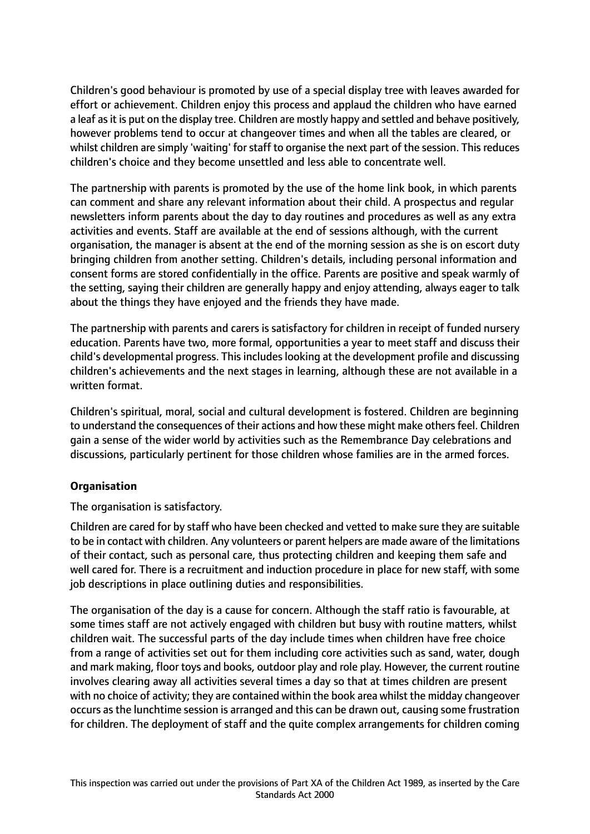Children's good behaviour is promoted by use of a special display tree with leaves awarded for effort or achievement. Children enjoy this process and applaud the children who have earned a leaf as it is put on the display tree. Children are mostly happy and settled and behave positively, however problems tend to occur at changeover times and when all the tables are cleared, or whilst children are simply 'waiting' for staff to organise the next part of the session. This reduces children's choice and they become unsettled and less able to concentrate well.

The partnership with parents is promoted by the use of the home link book, in which parents can comment and share any relevant information about their child. A prospectus and regular newsletters inform parents about the day to day routines and procedures as well as any extra activities and events. Staff are available at the end of sessions although, with the current organisation, the manager is absent at the end of the morning session as she is on escort duty bringing children from another setting. Children's details, including personal information and consent forms are stored confidentially in the office. Parents are positive and speak warmly of the setting, saying their children are generally happy and enjoy attending, always eager to talk about the things they have enjoyed and the friends they have made.

The partnership with parents and carers is satisfactory for children in receipt of funded nursery education. Parents have two, more formal, opportunities a year to meet staff and discuss their child's developmental progress. This includes looking at the development profile and discussing children's achievements and the next stages in learning, although these are not available in a written format.

Children's spiritual, moral, social and cultural development is fostered. Children are beginning to understand the consequences of their actions and how these might make others feel. Children gain a sense of the wider world by activities such as the Remembrance Day celebrations and discussions, particularly pertinent for those children whose families are in the armed forces.

## **Organisation**

The organisation is satisfactory.

Children are cared for by staff who have been checked and vetted to make sure they are suitable to be in contact with children. Any volunteers or parent helpers are made aware of the limitations of their contact, such as personal care, thus protecting children and keeping them safe and well cared for. There is a recruitment and induction procedure in place for new staff, with some job descriptions in place outlining duties and responsibilities.

The organisation of the day is a cause for concern. Although the staff ratio is favourable, at some times staff are not actively engaged with children but busy with routine matters, whilst children wait. The successful parts of the day include times when children have free choice from a range of activities set out for them including core activities such as sand, water, dough and mark making, floor toys and books, outdoor play and role play. However, the current routine involves clearing away all activities several times a day so that at times children are present with no choice of activity; they are contained within the book area whilst the midday changeover occurs as the lunchtime session is arranged and this can be drawn out, causing some frustration for children. The deployment of staff and the quite complex arrangements for children coming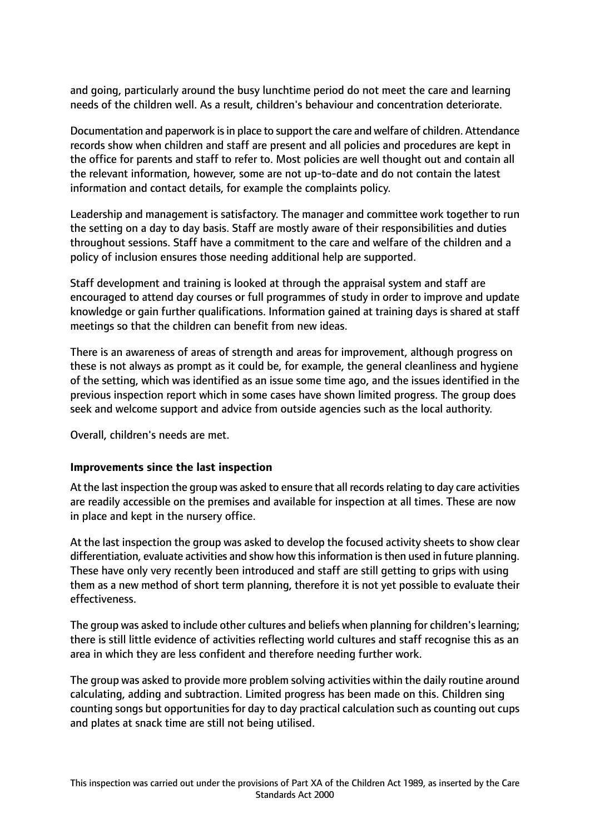and going, particularly around the busy lunchtime period do not meet the care and learning needs of the children well. As a result, children's behaviour and concentration deteriorate.

Documentation and paperwork isin place to support the care and welfare of children. Attendance records show when children and staff are present and all policies and procedures are kept in the office for parents and staff to refer to. Most policies are well thought out and contain all the relevant information, however, some are not up-to-date and do not contain the latest information and contact details, for example the complaints policy.

Leadership and management is satisfactory. The manager and committee work together to run the setting on a day to day basis. Staff are mostly aware of their responsibilities and duties throughout sessions. Staff have a commitment to the care and welfare of the children and a policy of inclusion ensures those needing additional help are supported.

Staff development and training is looked at through the appraisal system and staff are encouraged to attend day courses or full programmes of study in order to improve and update knowledge or gain further qualifications. Information gained at training days is shared at staff meetings so that the children can benefit from new ideas.

There is an awareness of areas of strength and areas for improvement, although progress on these is not always as prompt as it could be, for example, the general cleanliness and hygiene of the setting, which was identified as an issue some time ago, and the issues identified in the previous inspection report which in some cases have shown limited progress. The group does seek and welcome support and advice from outside agencies such as the local authority.

Overall, children's needs are met.

## **Improvements since the last inspection**

At the last inspection the group was asked to ensure that all records relating to day care activities are readily accessible on the premises and available for inspection at all times. These are now in place and kept in the nursery office.

At the last inspection the group was asked to develop the focused activity sheets to show clear differentiation, evaluate activities and show how thisinformation isthen used in future planning. These have only very recently been introduced and staff are still getting to grips with using them as a new method of short term planning, therefore it is not yet possible to evaluate their effectiveness.

The group was asked to include other cultures and beliefs when planning for children'slearning; there is still little evidence of activities reflecting world cultures and staff recognise this as an area in which they are less confident and therefore needing further work.

The group was asked to provide more problem solving activities within the daily routine around calculating, adding and subtraction. Limited progress has been made on this. Children sing counting songs but opportunities for day to day practical calculation such as counting out cups and plates at snack time are still not being utilised.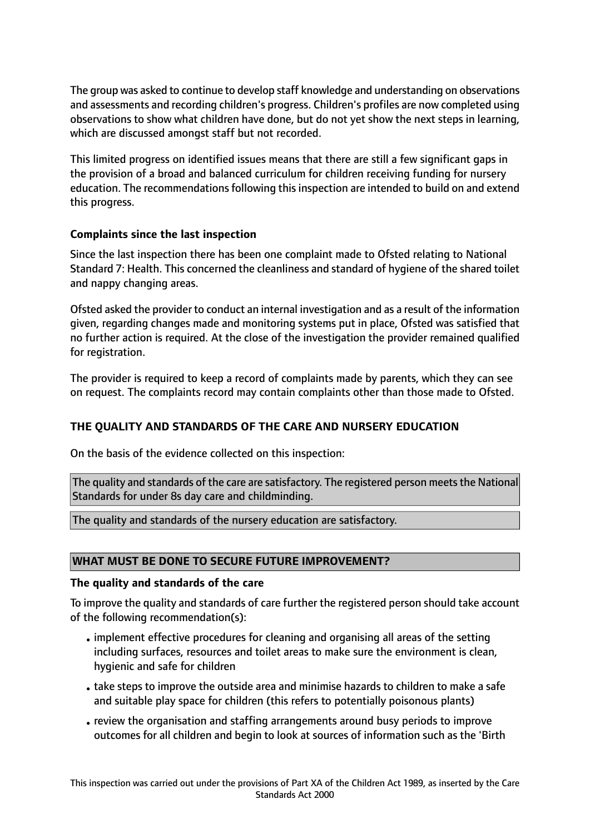The group was asked to continue to develop staff knowledge and understanding on observations and assessments and recording children's progress. Children's profiles are now completed using observations to show what children have done, but do not yet show the next steps in learning, which are discussed amongst staff but not recorded.

This limited progress on identified issues means that there are still a few significant gaps in the provision of a broad and balanced curriculum for children receiving funding for nursery education. The recommendations following this inspection are intended to build on and extend this progress.

# **Complaints since the last inspection**

Since the last inspection there has been one complaint made to Ofsted relating to National Standard 7: Health. This concerned the cleanliness and standard of hygiene of the shared toilet and nappy changing areas.

Ofsted asked the provider to conduct an internal investigation and as a result of the information given, regarding changes made and monitoring systems put in place, Ofsted was satisfied that no further action is required. At the close of the investigation the provider remained qualified for registration.

The provider is required to keep a record of complaints made by parents, which they can see on request. The complaints record may contain complaints other than those made to Ofsted.

# **THE QUALITY AND STANDARDS OF THE CARE AND NURSERY EDUCATION**

On the basis of the evidence collected on this inspection:

The quality and standards of the care are satisfactory. The registered person meets the National Standards for under 8s day care and childminding.

The quality and standards of the nursery education are satisfactory.

## **WHAT MUST BE DONE TO SECURE FUTURE IMPROVEMENT?**

## **The quality and standards of the care**

To improve the quality and standards of care further the registered person should take account of the following recommendation(s):

- •implement effective procedures for cleaning and organising all areas of the setting including surfaces, resources and toilet areas to make sure the environment is clean, hygienic and safe for children
- take steps to improve the outside area and minimise hazards to children to make a safe and suitable play space for children (this refers to potentially poisonous plants)
- •review the organisation and staffing arrangements around busy periods to improve outcomes for all children and begin to look at sources of information such as the 'Birth